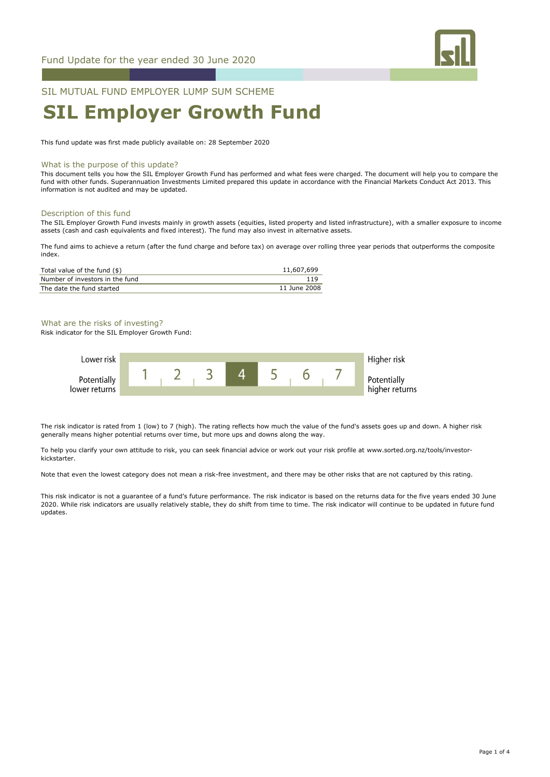

## SIL MUTUAL FUND EMPLOYER LUMP SUM SCHEME

# **SIL Employer Growth Fund**

This fund update was first made publicly available on: 28 September 2020

#### What is the purpose of this update?

This document tells you how the SIL Employer Growth Fund has performed and what fees were charged. The document will help you to compare the fund with other funds. Superannuation Investments Limited prepared this update in accordance with the Financial Markets Conduct Act 2013. This information is not audited and may be updated.

#### Description of this fund

The SIL Employer Growth Fund invests mainly in growth assets (equities, listed property and listed infrastructure), with a smaller exposure to income assets (cash and cash equivalents and fixed interest). The fund may also invest in alternative assets.

The fund aims to achieve a return (after the fund charge and before tax) on average over rolling three year periods that outperforms the composite index.

| Total value of the fund (\$)    | 11,607,699   |
|---------------------------------|--------------|
| Number of investors in the fund |              |
| The date the fund started       | 11 June 2008 |

What are the risks of investing?

Risk indicator for the SIL Employer Growth Fund:



The risk indicator is rated from 1 (low) to 7 (high). The rating reflects how much the value of the fund's assets goes up and down. A higher risk generally means higher potential returns over time, but more ups and downs along the way.

To help you clarify your own attitude to risk, you can seek financial advice or work out your risk profile at www.sorted.org.nz/tools/investorkickstarter.

Note that even the lowest category does not mean a risk-free investment, and there may be other risks that are not captured by this rating.

This risk indicator is not a guarantee of a fund's future performance. The risk indicator is based on the returns data for the five years ended 30 June 2020. While risk indicators are usually relatively stable, they do shift from time to time. The risk indicator will continue to be updated in future fund updates.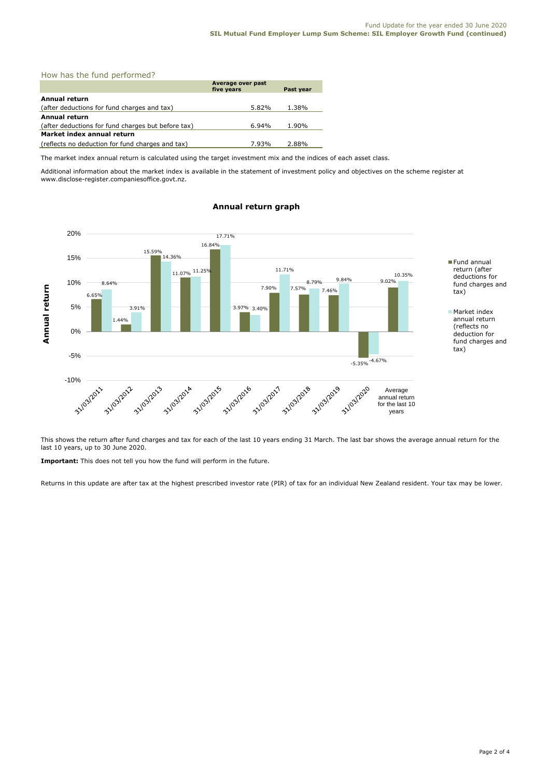#### How has the fund performed?

|                                                    | Average over past |           |
|----------------------------------------------------|-------------------|-----------|
|                                                    | five years        | Past year |
| <b>Annual return</b>                               |                   |           |
| (after deductions for fund charges and tax)        | 5.82%             | 1.38%     |
| <b>Annual return</b>                               |                   |           |
| (after deductions for fund charges but before tax) | $6.94\%$          | 1.90%     |
| Market index annual return                         |                   |           |
| (reflects no deduction for fund charges and tax)   | 7.93%             | 2.88%     |

The market index annual return is calculated using the target investment mix and the indices of each asset class.

Additional information about the market index is available in the statement of investment policy and objectives on the scheme register at www.disclose-register.companiesoffice.govt.nz.



### **Annual return graph**

This shows the return after fund charges and tax for each of the last 10 years ending 31 March. The last bar shows the average annual return for the last 10 years, up to 30 June 2020.

**Important:** This does not tell you how the fund will perform in the future.

Returns in this update are after tax at the highest prescribed investor rate (PIR) of tax for an individual New Zealand resident. Your tax may be lower.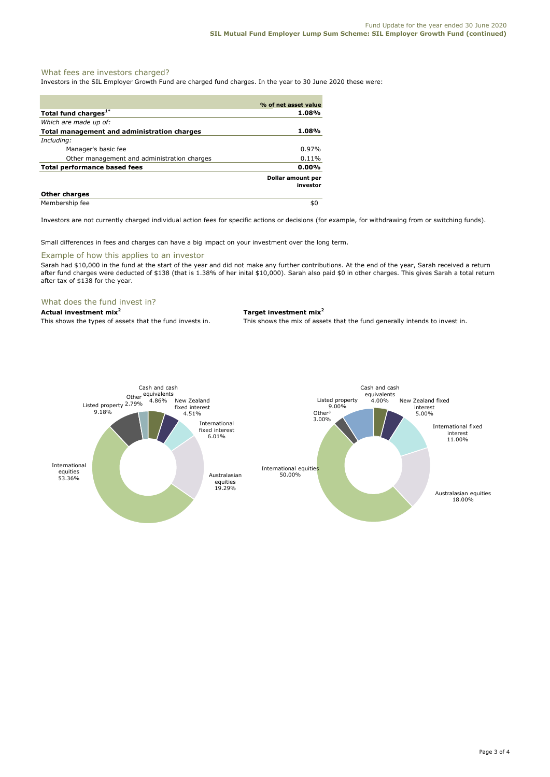#### What fees are investors charged?

Investors in the SIL Employer Growth Fund are charged fund charges. In the year to 30 June 2020 these were:

|                                                    | % of net asset value          |
|----------------------------------------------------|-------------------------------|
| Total fund charges <sup>1*</sup>                   | 1.08%                         |
| Which are made up of:                              |                               |
| <b>Total management and administration charges</b> | 1.08%                         |
| Including:                                         |                               |
| Manager's basic fee                                | $0.97\%$                      |
| Other management and administration charges        | 0.11%                         |
| Total performance based fees                       | $0.00\%$                      |
|                                                    | Dollar amount per<br>investor |
| <b>Other charges</b>                               |                               |
| Membership fee                                     | \$0                           |

Investors are not currently charged individual action fees for specific actions or decisions (for example, for withdrawing from or switching funds).

Small differences in fees and charges can have a big impact on your investment over the long term.

#### Example of how this applies to an investor

Sarah had \$10,000 in the fund at the start of the year and did not make any further contributions. At the end of the year, Sarah received a return after fund charges were deducted of \$138 (that is 1.38% of her inital \$10,000). Sarah also paid \$0 in other charges. This gives Sarah a total return after tax of \$138 for the year.

#### What does the fund invest in?

**Actual investment mix<sup>2</sup> Target investment mix<sup>2</sup>**

This shows the types of assets that the fund invests in. This shows the mix of assets that the fund generally intends to invest in.